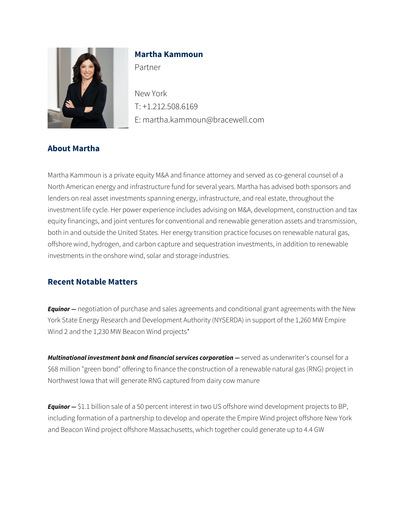

# **Martha Kammoun**

Partner

New York T: +1.212.508.6169 E: martha.kammoun@bracewell.com

## **About Martha**

Martha Kammoun is a private equity M&A and finance attorney and served as co-general counsel of a North American energy and infrastructure fund for several years. Martha has advised both sponsors and lenders on real asset investments spanning energy, infrastructure, and real estate, throughout the investment life cycle. Her power experience includes advising on M&A, development, construction and tax equity financings, and joint ventures for conventional and renewable generation assets and transmission, both in and outside the United States. Her energy transition practice focuses on renewable natural gas, offshore wind, hydrogen, and carbon capture and sequestration investments, in addition to renewable investments in the onshore wind, solar and storage industries.

## **Recent Notable Matters**

*Equinor* — negotiation of purchase and sales agreements and conditional grant agreements with the New York State Energy Research and Development Authority (NYSERDA) in support of the 1,260 MW Empire Wind 2 and the 1,230 MW Beacon Wind projects\*

*Multinational investment bank and financial services corporation* — served as underwriter's counsel for a \$68 million "green bond" offering to finance the construction of a renewable natural gas (RNG) project in Northwest Iowa that will generate RNG captured from dairy cow manure

*Equinor —* \$1.1 billion sale of a 50 percent interest in two US offshore wind development projects to BP, including formation of a partnership to develop and operate the Empire Wind project offshore New York and Beacon Wind project offshore Massachusetts, which together could generate up to 4.4 GW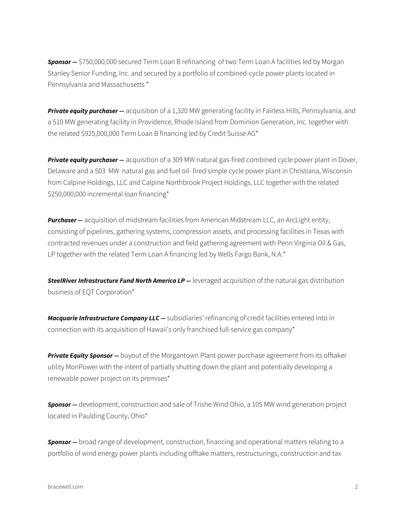*Sponsor —* \$750,000,000 secured Term Loan B refinancing of two Term Loan A facilities led by Morgan Stanley Senior Funding, Inc. and secured by a portfolio of combined-cycle power plants located in Pennsylvania and Massachusetts \*

*Private equity purchaser —* acquisition of a 1,320 MW generating facility in Fairless Hills, Pennsylvania, and a 510 MW generating facility in Providence, Rhode Island from Dominion Generation, Inc. together with the related \$925,000,000 Term Loan B financing led by Credit Suisse AG\*

*Private equity purchaser —* acquisition of a 309 MW natural gas-fired combined cycle power plant in Dover, Delaware and a 503 MW natural gas and fuel oil- fired simple cycle power plant in Christiana, Wisconsin from Calpine Holdings, LLC and Calpine Northbrook Project Holdings, LLC together with the related \$250,000,000 incremental loan financing\*

**Purchaser –** acquisition of midstream facilities from American Midstream LLC, an ArcLight entity, consisting of pipelines, gathering systems, compression assets, and processing facilities in Texas with contracted revenues under a construction and field gathering agreement with Penn Virginia Oil & Gas, LP together with the related Term Loan A financing led by Wells Fargo Bank, N.A.\*

**SteelRiver Infrastructure Fund North America LP** — leveraged acquisition of the natural gas distribution business of EQT Corporation\*

*Macquarie Infrastructure Company LLC —* subsidiaries' refinancing of credit facilities entered into in connection with its acquisition of Hawaii's only franchised full-service gas company\*

*Private Equity Sponsor —* buyout of the Morgantown Plant power purchase agreement from its offtaker utility MonPower with the intent of partially shutting down the plant and potentially developing a renewable power project on its premises\*

**Sponsor –** development, construction and sale of Trishe Wind Ohio, a 105 MW wind generation project located in Paulding County, Ohio\*

*Sponsor —* broad range of development, construction, financing and operational matters relating to a portfolio of wind energy power plants including offtake matters, restructurings, construction and tax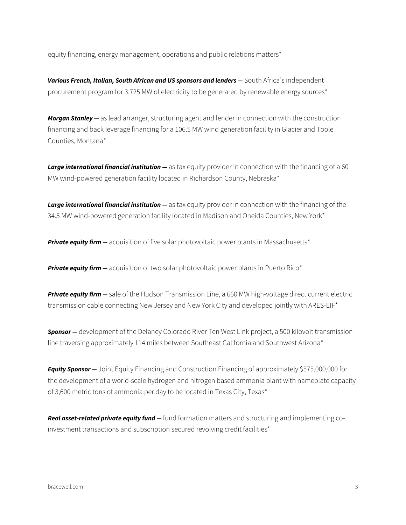equity financing, energy management, operations and public relations matters\*

Various French, Italian, South African and US sponsors and lenders - South Africa's independent procurement program for 3,725 MW of electricity to be generated by renewable energy sources\*

*Morgan Stanley —* as lead arranger, structuring agent and lender in connection with the construction financing and back leverage financing for a 106.5 MW wind generation facility in Glacier and Toole Counties, Montana\*

*Large international financial institution —* as tax equity provider in connection with the financing of a 60 MW wind-powered generation facility located in Richardson County, Nebraska\*

**Large international financial institution —** as tax equity provider in connection with the financing of the 34.5 MW wind-powered generation facility located in Madison and Oneida Counties, New York\*

**Private equity firm –** acquisition of five solar photovoltaic power plants in Massachusetts<sup>\*</sup>

*Private equity firm – acquisition of two solar photovoltaic power plants in Puerto Rico\** 

*Private equity firm —* sale of the Hudson Transmission Line, a 660 MW high-voltage direct current electric transmission cable connecting New Jersey and New York City and developed jointly with ARES-EIF\*

*Sponsor —* development of the Delaney Colorado River Ten West Link project, a 500 kilovolt transmission line traversing approximately 114 miles between Southeast California and Southwest Arizona\*

*Equity Sponsor — Joint Equity Financing and Construction Financing of approximately \$575,000,000 for* the development of a world-scale hydrogen and nitrogen based ammonia plant with nameplate capacity of 3,600 metric tons of ammonia per day to be located in Texas City, Texas\*

*Real asset-related private equity fund —* fund formation matters and structuring and implementing coinvestment transactions and subscription secured revolving credit facilities\*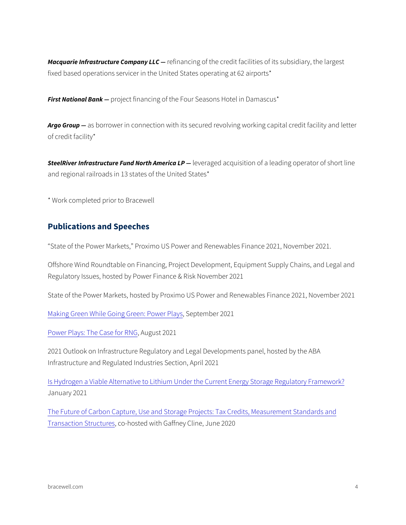Macquarie Infrastructure Ceofrimpany inlgCof the credit facilities of its subsidiary fixed based operations servicer in the United States operating at 62

First Nationalp Boank ct financing of the Four Seasons Hotel in Damascus

Argo Groap borrower in connection with its secured revolving working of credit facility\*

SteelRiver Infrastructure Fund New etha a ma deracca up I Psition of a leading operator in the short line of short and short line and short at  $\sim$ and regional railroads in 13 states of the United States\*

\* Work completed prior to Bracewell

#### Publications and Speeches

State of the Power Markets, Proximo US Power and Renewables Fin

Offshore Wind Roundtable on Financing, Project Development, Equip Regulatory Issues, hosted by Power Finance & Risk November 2021

State of the Power Markets, hosted by Proximo US Power and Renew

[Making Green While Going](https://bracewell.com/insights/making-green-while-going-green-power-plays), Greepetre: mBew 2r0 Plays

[Power Plays: The](https://bracewell.com/insights/power-plays-case-rng),  $C$ August  $C \cap R \subseteq \mathbb{C}$ 

2021 Outlook on Infrastructure Regulatory and Legal Developments p Infrastructure and Regulated Industries Section, April 2021

[Is Hydrogen a Viable Alternative to Lithium Under the Cu](https://bracewell.com/insights/hydrogen-viable-alternative-lithium-under-current-energy-storage-regulatory-framework)rrent Energ January 2021

[The Future of Carbon Capture, Use and Storage Project](https://bracewell.com/insights/future-carbon-capture-use-and-storage-projects-tax-credits-measurement-standards-and)s: Tax Credit [Transaction S](https://bracewell.com/insights/future-carbon-capture-use-and-storage-projects-tax-credits-measurement-standards-and)tcoehorsted with Gaffney Cline, June 2020